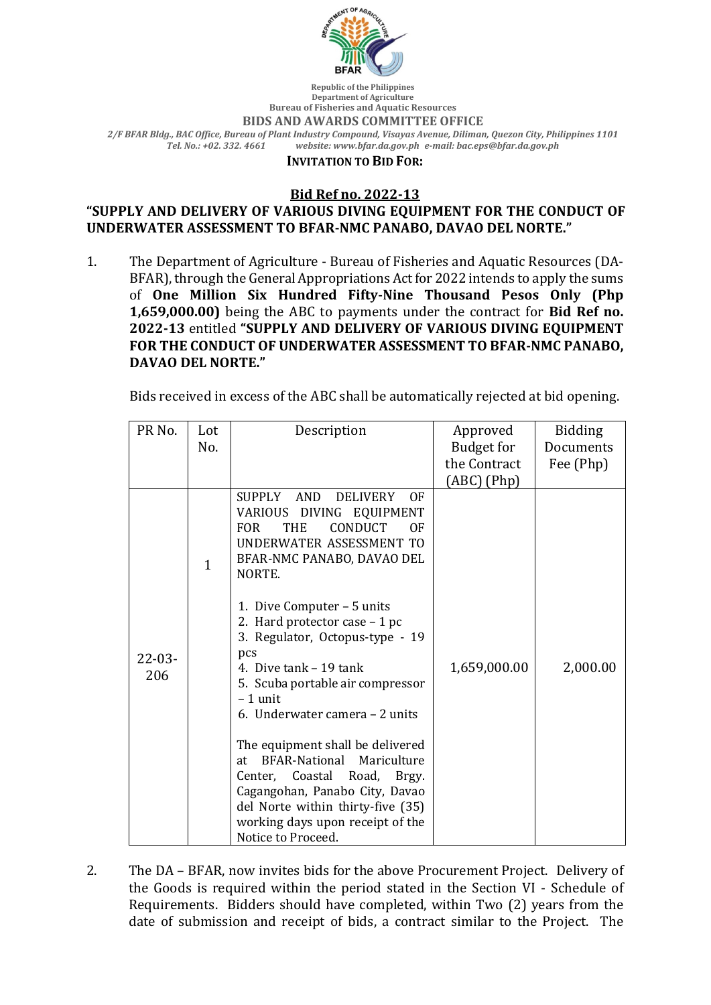

**Republic of the Philippines Department of Agriculture Bureau of Fisheries and Aquatic Resources BIDS AND AWARDS COMMITTEE OFFICE** *2/F BFAR Bldg., BAC Office, Bureau of Plant Industry Compound, Visayas Avenue, Diliman, Quezon City, Philippines 1101 Tel. No.: +02. 332. 4661 website: www.bfar.da.gov.ph e-mail: bac.eps@bfar.da.gov.ph*

## **INVITATION TO BID FOR:**

## **Bid Ref no. 2022-13**

## **"SUPPLY AND DELIVERY OF VARIOUS DIVING EQUIPMENT FOR THE CONDUCT OF UNDERWATER ASSESSMENT TO BFAR-NMC PANABO, DAVAO DEL NORTE."**

1. The Department of Agriculture - Bureau of Fisheries and Aquatic Resources (DA-BFAR), through the General Appropriations Act for 2022 intends to apply the sums of **One Million Six Hundred Fifty-Nine Thousand Pesos Only (Php 1,659,000.00)** being the ABC to payments under the contract for **Bid Ref no. 2022-13** entitled "SUPPLY AND DELIVERY OF VARIOUS DIVING EQUIPMENT FOR THE CONDUCT OF UNDERWATER ASSESSMENT TO BFAR-NMC PANABO, **DAVAO DEL NORTE."**

Bids received in excess of the ABC shall be automatically rejected at bid opening.

| PR <sub>No.</sub>  | Lot          | Description                                                                                                                                                                                                                                                                                                                                                                   | Approved          | <b>Bidding</b> |
|--------------------|--------------|-------------------------------------------------------------------------------------------------------------------------------------------------------------------------------------------------------------------------------------------------------------------------------------------------------------------------------------------------------------------------------|-------------------|----------------|
|                    | No.          |                                                                                                                                                                                                                                                                                                                                                                               | <b>Budget for</b> | Documents      |
|                    |              |                                                                                                                                                                                                                                                                                                                                                                               | the Contract      | Fee (Php)      |
|                    |              |                                                                                                                                                                                                                                                                                                                                                                               | (ABC) (Php)       |                |
| $22 - 03 -$<br>206 | $\mathbf{1}$ | SUPPLY AND<br><b>DELIVERY</b><br>0F<br>VARIOUS DIVING EQUIPMENT<br><b>CONDUCT</b><br><b>THE</b><br><b>FOR</b><br>ΩF<br>UNDERWATER ASSESSMENT TO<br>BFAR-NMC PANABO, DAVAO DEL<br>NORTE.                                                                                                                                                                                       |                   |                |
|                    |              | 1. Dive Computer - 5 units<br>2. Hard protector case - 1 pc<br>3. Regulator, Octopus-type - 19<br>pcs<br>4. Dive tank – 19 tank<br>5. Scuba portable air compressor<br>$-1$ unit<br>6. Underwater camera – 2 units<br>The equipment shall be delivered<br><b>BFAR-National</b><br>Mariculture<br>at<br>Coastal<br>Road,<br>Center,<br>Brgy.<br>Cagangohan, Panabo City, Davao | 1,659,000.00      | 2,000.00       |
|                    |              | del Norte within thirty-five (35)<br>working days upon receipt of the<br>Notice to Proceed.                                                                                                                                                                                                                                                                                   |                   |                |

2. The DA – BFAR, now invites bids for the above Procurement Project. Delivery of the Goods is required within the period stated in the Section VI - Schedule of Requirements. Bidders should have completed, within Two (2) years from the date of submission and receipt of bids, a contract similar to the Project. The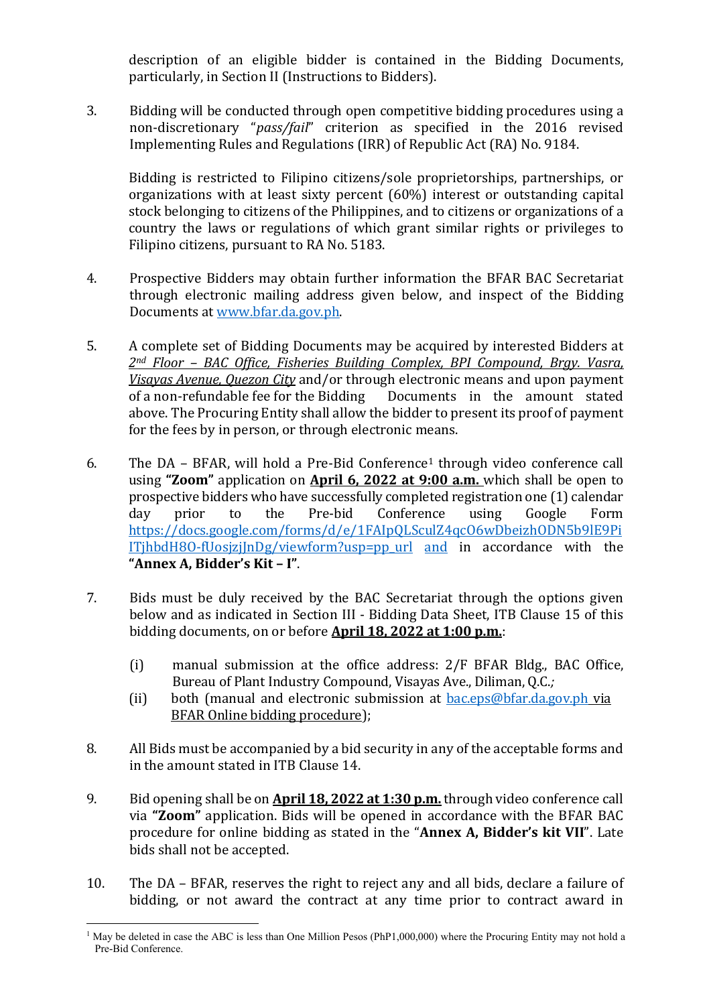description of an eligible bidder is contained in the Bidding Documents, particularly, in Section II (Instructions to Bidders).

3. Bidding will be conducted through open competitive bidding procedures using a non-discretionary "pass/fail" criterion as specified in the 2016 revised Implementing Rules and Regulations (IRR) of Republic Act (RA) No. 9184.

Bidding is restricted to Filipino citizens/sole proprietorships, partnerships, or organizations with at least sixty percent  $(60%)$  interest or outstanding capital stock belonging to citizens of the Philippines, and to citizens or organizations of a country the laws or regulations of which grant similar rights or privileges to Filipino citizens, pursuant to RA No. 5183.

- 4. Prospective Bidders may obtain further information the BFAR BAC Secretariat through electronic mailing address given below, and inspect of the Bidding Documents at www.bfar.da.gov.ph.
- 5. A complete set of Bidding Documents may be acquired by interested Bidders at 2<sup>nd</sup> Floor – BAC Office, Fisheries Building Complex, BPI Compound, Brgy. Vasra, *Visayas Avenue, Quezon City* and/or through electronic means and upon payment of a non-refundable fee for the Bidding Documents in the amount stated above. The Procuring Entity shall allow the bidder to present its proof of payment for the fees by in person, or through electronic means.
- 6. The DA BFAR, will hold a Pre-Bid Conference<sup>1</sup> through video conference call using "**Zoom**" application on **April 6, 2022 at 9:00 a.m.** which shall be open to prospective bidders who have successfully completed registration one (1) calendar day prior to the Pre-bid Conference using Google Form https://docs.google.com/forms/d/e/1FAIpQLSculZ4qcO6wDbeizhODN5b9lE9Pi  $I$ TjhbdH8O-fUosjzj $InDg/viewform?usp=ppurl$  and in accordance with the **"Annex A, Bidder's Kit – I"**.
- 7. Bids must be duly received by the BAC Secretariat through the options given below and as indicated in Section III - Bidding Data Sheet, ITB Clause 15 of this bidding documents, on or before **April 18, 2022 at 1:00 p.m.**:
	- (i) manual submission at the office address:  $2/F$  BFAR Bldg., BAC Office, Bureau of Plant Industry Compound, Visayas Ave., Diliman, Q.C.;
	- (ii) both (manual and electronic submission at  $bac.\text{eps@bf}a.da.gov.ph$  via BFAR Online bidding procedure);
- 8. All Bids must be accompanied by a bid security in any of the acceptable forms and in the amount stated in ITB Clause 14.
- 9. Bid opening shall be on **April 18, 2022 at 1:30 p.m.** through video conference call via "**Zoom**" application. Bids will be opened in accordance with the BFAR BAC procedure for online bidding as stated in the "**Annex A, Bidder's kit VII**". Late bids shall not be accepted.
- 10. The DA BFAR, reserves the right to reject any and all bids, declare a failure of bidding, or not award the contract at any time prior to contract award in

<sup>&</sup>lt;sup>1</sup> May be deleted in case the ABC is less than One Million Pesos (PhP1,000,000) where the Procuring Entity may not hold a Pre-Bid Conference.